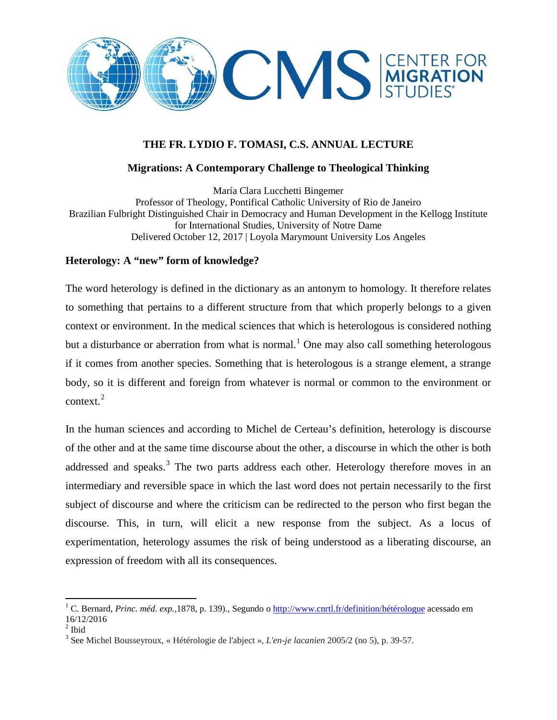

# **THE FR. LYDIO F. TOMASI, C.S. ANNUAL LECTURE**

## **Migrations: A Contemporary Challenge to Theological Thinking**

María Clara Lucchetti Bingemer Professor of Theology, Pontifical Catholic University of Rio de Janeiro Brazilian Fulbright Distinguished Chair in Democracy and Human Development in the Kellogg Institute for International Studies, University of Notre Dame Delivered October 12, 2017 | Loyola Marymount University Los Angeles

### **Heterology: A "new" form of knowledge?**

The word heterology is defined in the dictionary as an antonym to homology. It therefore relates to something that pertains to a different structure from that which properly belongs to a given context or environment. In the medical sciences that which is heterologous is considered nothing but a disturbance or aberration from what is normal.<sup>[1](#page-0-0)</sup> One may also call something heterologous if it comes from another species. Something that is heterologous is a strange element, a strange body, so it is different and foreign from whatever is normal or common to the environment or context.<sup>[2](#page-0-1)</sup>

In the human sciences and according to Michel de Certeau's definition, heterology is discourse of the other and at the same time discourse about the other, a discourse in which the other is both addressed and speaks.<sup>[3](#page-0-2)</sup> The two parts address each other. Heterology therefore moves in an intermediary and reversible space in which the last word does not pertain necessarily to the first subject of discourse and where the criticism can be redirected to the person who first began the discourse. This, in turn, will elicit a new response from the subject. As a locus of experimentation, heterology assumes the risk of being understood as a liberating discourse, an expression of freedom with all its consequences.

<span id="page-0-0"></span><sup>1</sup> C. Bernard, *Princ. méd. exp.,*1878, p. 139)., Segundo o<http://www.cnrtl.fr/definition/hétérologue> acessado em  $\frac{16}{12/2016}$ 

<span id="page-0-1"></span>

<span id="page-0-2"></span><sup>&</sup>lt;sup>3</sup> See Michel Bousseyroux, « Hétérologie de l'abject », *L'en-je lacanien* 2005/2 (no 5), p. 39-57.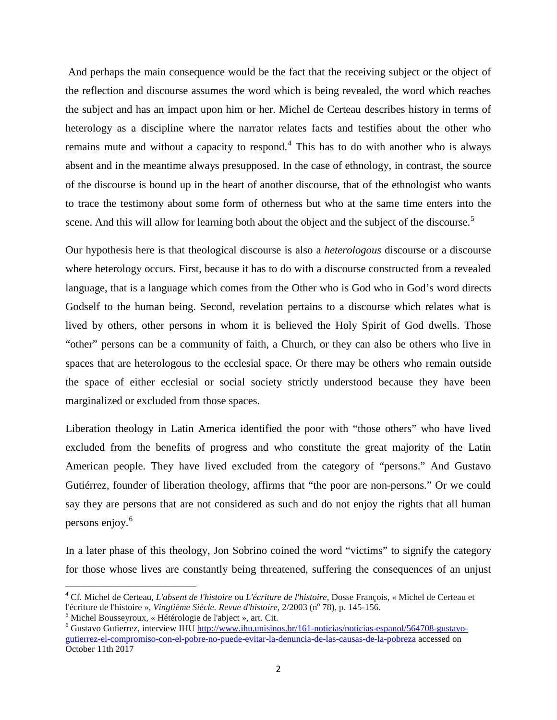And perhaps the main consequence would be the fact that the receiving subject or the object of the reflection and discourse assumes the word which is being revealed, the word which reaches the subject and has an impact upon him or her. Michel de Certeau describes history in terms of heterology as a discipline where the narrator relates facts and testifies about the other who remains mute and without a capacity to respond.<sup>[4](#page-1-0)</sup> This has to do with another who is always absent and in the meantime always presupposed. In the case of ethnology, in contrast, the source of the discourse is bound up in the heart of another discourse, that of the ethnologist who wants to trace the testimony about some form of otherness but who at the same time enters into the scene. And this will allow for learning both about the object and the subject of the discourse.<sup>[5](#page-1-1)</sup>

Our hypothesis here is that theological discourse is also a *heterologous* discourse or a discourse where heterology occurs. First, because it has to do with a discourse constructed from a revealed language, that is a language which comes from the Other who is God who in God's word directs Godself to the human being. Second, revelation pertains to a discourse which relates what is lived by others, other persons in whom it is believed the Holy Spirit of God dwells. Those "other" persons can be a community of faith, a Church, or they can also be others who live in spaces that are heterologous to the ecclesial space. Or there may be others who remain outside the space of either ecclesial or social society strictly understood because they have been marginalized or excluded from those spaces.

Liberation theology in Latin America identified the poor with "those others" who have lived excluded from the benefits of progress and who constitute the great majority of the Latin American people. They have lived excluded from the category of "persons." And Gustavo Gutiérrez, founder of liberation theology, affirms that "the poor are non-persons." Or we could say they are persons that are not considered as such and do not enjoy the rights that all human persons enjoy.[6](#page-1-2)

In a later phase of this theology, Jon Sobrino coined the word "victims" to signify the category for those whose lives are constantly being threatened, suffering the consequences of an unjust

<span id="page-1-0"></span><sup>&</sup>lt;sup>4</sup> Cf. Michel de Certeau, *L'absent de l'histoire* ou *L'écriture de l'histoire*, Dosse François, « Michel de Certeau et l'écriture de l'histoire », *Vingtième Siècle. Revue d'histoire*, 2/2003 (n° 78), p. 145-156.

<span id="page-1-2"></span>

<span id="page-1-1"></span><sup>&</sup>lt;sup>5</sup> Michel Bousseyroux, « Hétérologie de l'abject », art. Cit.<br><sup>6</sup> Gustavo Gutierrez, interview IHU [http://www.ihu.unisinos.br/161-noticias/noticias-espanol/564708-gustavo](http://www.ihu.unisinos.br/161-noticias/noticias-espanol/564708-gustavo-gutierrez-el-compromiso-con-el-pobre-no-puede-evitar-la-denuncia-de-las-causas-de-la-pobreza)[gutierrez-el-compromiso-con-el-pobre-no-puede-evitar-la-denuncia-de-las-causas-de-la-pobreza](http://www.ihu.unisinos.br/161-noticias/noticias-espanol/564708-gustavo-gutierrez-el-compromiso-con-el-pobre-no-puede-evitar-la-denuncia-de-las-causas-de-la-pobreza) accessed on October 11th 2017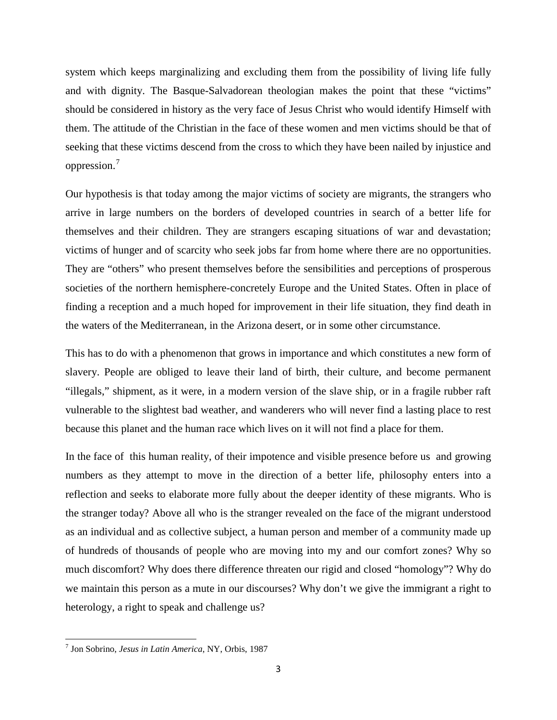system which keeps marginalizing and excluding them from the possibility of living life fully and with dignity. The Basque-Salvadorean theologian makes the point that these "victims" should be considered in history as the very face of Jesus Christ who would identify Himself with them. The attitude of the Christian in the face of these women and men victims should be that of seeking that these victims descend from the cross to which they have been nailed by injustice and oppression.[7](#page-2-0)

Our hypothesis is that today among the major victims of society are migrants, the strangers who arrive in large numbers on the borders of developed countries in search of a better life for themselves and their children. They are strangers escaping situations of war and devastation; victims of hunger and of scarcity who seek jobs far from home where there are no opportunities. They are "others" who present themselves before the sensibilities and perceptions of prosperous societies of the northern hemisphere-concretely Europe and the United States. Often in place of finding a reception and a much hoped for improvement in their life situation, they find death in the waters of the Mediterranean, in the Arizona desert, or in some other circumstance.

This has to do with a phenomenon that grows in importance and which constitutes a new form of slavery. People are obliged to leave their land of birth, their culture, and become permanent "illegals," shipment, as it were, in a modern version of the slave ship, or in a fragile rubber raft vulnerable to the slightest bad weather, and wanderers who will never find a lasting place to rest because this planet and the human race which lives on it will not find a place for them.

In the face of this human reality, of their impotence and visible presence before us and growing numbers as they attempt to move in the direction of a better life, philosophy enters into a reflection and seeks to elaborate more fully about the deeper identity of these migrants. Who is the stranger today? Above all who is the stranger revealed on the face of the migrant understood as an individual and as collective subject, a human person and member of a community made up of hundreds of thousands of people who are moving into my and our comfort zones? Why so much discomfort? Why does there difference threaten our rigid and closed "homology"? Why do we maintain this person as a mute in our discourses? Why don't we give the immigrant a right to heterology, a right to speak and challenge us?

<span id="page-2-0"></span><sup>7</sup> Jon Sobrino, *Jesus in Latin America*, NY, Orbis, 1987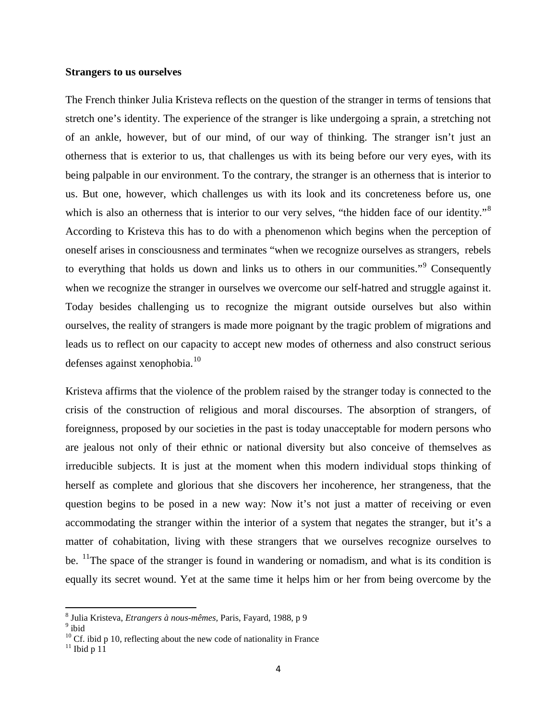#### **Strangers to us ourselves**

The French thinker Julia Kristeva reflects on the question of the stranger in terms of tensions that stretch one's identity. The experience of the stranger is like undergoing a sprain, a stretching not of an ankle, however, but of our mind, of our way of thinking. The stranger isn't just an otherness that is exterior to us, that challenges us with its being before our very eyes, with its being palpable in our environment. To the contrary, the stranger is an otherness that is interior to us. But one, however, which challenges us with its look and its concreteness before us, one which is also an otherness that is interior to our very selves, "the hidden face of our identity."<sup>[8](#page-3-0)</sup> According to Kristeva this has to do with a phenomenon which begins when the perception of oneself arises in consciousness and terminates "when we recognize ourselves as strangers, rebels to everything that holds us down and links us to others in our communities."<sup>[9](#page-3-1)</sup> Consequently when we recognize the stranger in ourselves we overcome our self-hatred and struggle against it. Today besides challenging us to recognize the migrant outside ourselves but also within ourselves, the reality of strangers is made more poignant by the tragic problem of migrations and leads us to reflect on our capacity to accept new modes of otherness and also construct serious  $defenses against xenophobia.<sup>10</sup>$  $defenses against xenophobia.<sup>10</sup>$  $defenses against xenophobia.<sup>10</sup>$ 

Kristeva affirms that the violence of the problem raised by the stranger today is connected to the crisis of the construction of religious and moral discourses. The absorption of strangers, of foreignness, proposed by our societies in the past is today unacceptable for modern persons who are jealous not only of their ethnic or national diversity but also conceive of themselves as irreducible subjects. It is just at the moment when this modern individual stops thinking of herself as complete and glorious that she discovers her incoherence, her strangeness, that the question begins to be posed in a new way: Now it's not just a matter of receiving or even accommodating the stranger within the interior of a system that negates the stranger, but it's a matter of cohabitation, living with these strangers that we ourselves recognize ourselves to be. <sup>11</sup>The space of the stranger is found in wandering or nomadism, and what is its condition is equally its secret wound. Yet at the same time it helps him or her from being overcome by the

<span id="page-3-0"></span> $^8$  Julia Kristeva, *Etrangers à nous-mêmes*, Paris, Fayard, 1988, p $9$  $^9$ ibid

<span id="page-3-2"></span><span id="page-3-1"></span>

<span id="page-3-3"></span><sup>&</sup>lt;sup>10</sup> Cf. ibid p 10, reflecting about the new code of nationality in France <sup>11</sup> Ibid p 11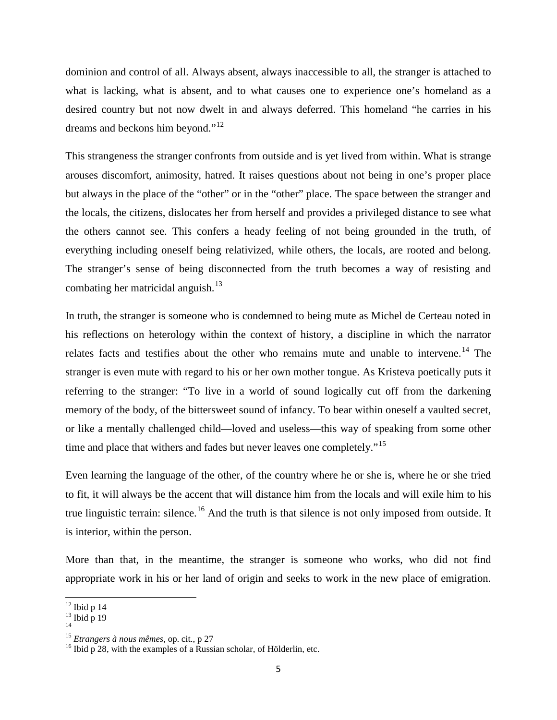dominion and control of all. Always absent, always inaccessible to all, the stranger is attached to what is lacking, what is absent, and to what causes one to experience one's homeland as a desired country but not now dwelt in and always deferred. This homeland "he carries in his dreams and beckons him beyond."<sup>[12](#page-4-0)</sup>

This strangeness the stranger confronts from outside and is yet lived from within. What is strange arouses discomfort, animosity, hatred. It raises questions about not being in one's proper place but always in the place of the "other" or in the "other" place. The space between the stranger and the locals, the citizens, dislocates her from herself and provides a privileged distance to see what the others cannot see. This confers a heady feeling of not being grounded in the truth, of everything including oneself being relativized, while others, the locals, are rooted and belong. The stranger's sense of being disconnected from the truth becomes a way of resisting and combating her matricidal anguish.<sup>[13](#page-4-1)</sup>

In truth, the stranger is someone who is condemned to being mute as Michel de Certeau noted in his reflections on heterology within the context of history, a discipline in which the narrator relates facts and testifies about the other who remains mute and unable to intervene.<sup>[14](#page-4-2)</sup> The stranger is even mute with regard to his or her own mother tongue. As Kristeva poetically puts it referring to the stranger: "To live in a world of sound logically cut off from the darkening memory of the body, of the bittersweet sound of infancy. To bear within oneself a vaulted secret, or like a mentally challenged child—loved and useless—this way of speaking from some other time and place that withers and fades but never leaves one completely."<sup>[15](#page-4-3)</sup>

Even learning the language of the other, of the country where he or she is, where he or she tried to fit, it will always be the accent that will distance him from the locals and will exile him to his true linguistic terrain: silence.<sup>[16](#page-4-4)</sup> And the truth is that silence is not only imposed from outside. It is interior, within the person.

More than that, in the meantime, the stranger is someone who works, who did not find appropriate work in his or her land of origin and seeks to work in the new place of emigration.

<span id="page-4-1"></span><span id="page-4-0"></span> $\frac{12}{13}$  Ibid p 14<br> $\frac{13}{14}$  Ibid p 19

<span id="page-4-3"></span><span id="page-4-2"></span>

<span id="page-4-4"></span><sup>&</sup>lt;sup>15</sup> *Etrangers à nous mêmes*, op. cit., p 27 <sup>16</sup> Ibid p 28, with the examples of a Russian scholar, of Hölderlin, etc.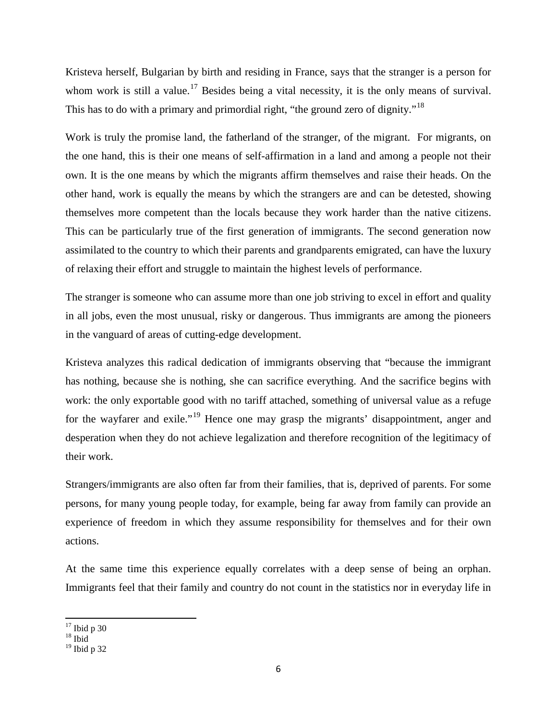Kristeva herself, Bulgarian by birth and residing in France, says that the stranger is a person for whom work is still a value.<sup>[17](#page-5-0)</sup> Besides being a vital necessity, it is the only means of survival. This has to do with a primary and primordial right, "the ground zero of dignity."<sup>[18](#page-5-1)</sup>

Work is truly the promise land, the fatherland of the stranger, of the migrant. For migrants, on the one hand, this is their one means of self-affirmation in a land and among a people not their own. It is the one means by which the migrants affirm themselves and raise their heads. On the other hand, work is equally the means by which the strangers are and can be detested, showing themselves more competent than the locals because they work harder than the native citizens. This can be particularly true of the first generation of immigrants. The second generation now assimilated to the country to which their parents and grandparents emigrated, can have the luxury of relaxing their effort and struggle to maintain the highest levels of performance.

The stranger is someone who can assume more than one job striving to excel in effort and quality in all jobs, even the most unusual, risky or dangerous. Thus immigrants are among the pioneers in the vanguard of areas of cutting-edge development.

Kristeva analyzes this radical dedication of immigrants observing that "because the immigrant has nothing, because she is nothing, she can sacrifice everything. And the sacrifice begins with work: the only exportable good with no tariff attached, something of universal value as a refuge for the wayfarer and exile."[19](#page-5-2) Hence one may grasp the migrants' disappointment, anger and desperation when they do not achieve legalization and therefore recognition of the legitimacy of their work.

Strangers/immigrants are also often far from their families, that is, deprived of parents. For some persons, for many young people today, for example, being far away from family can provide an experience of freedom in which they assume responsibility for themselves and for their own actions.

At the same time this experience equally correlates with a deep sense of being an orphan. Immigrants feel that their family and country do not count in the statistics nor in everyday life in

<span id="page-5-0"></span> $\frac{17}{18}$  Ibid p 30

<span id="page-5-2"></span><span id="page-5-1"></span><sup>19</sup> Ibid p 32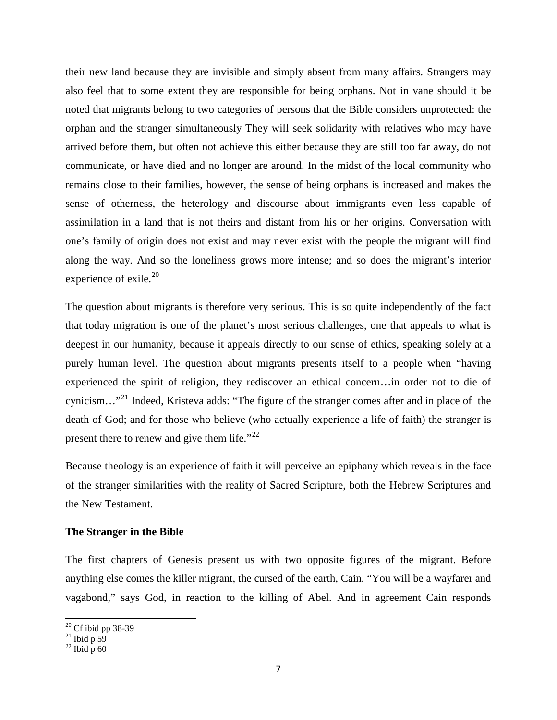their new land because they are invisible and simply absent from many affairs. Strangers may also feel that to some extent they are responsible for being orphans. Not in vane should it be noted that migrants belong to two categories of persons that the Bible considers unprotected: the orphan and the stranger simultaneously They will seek solidarity with relatives who may have arrived before them, but often not achieve this either because they are still too far away, do not communicate, or have died and no longer are around. In the midst of the local community who remains close to their families, however, the sense of being orphans is increased and makes the sense of otherness, the heterology and discourse about immigrants even less capable of assimilation in a land that is not theirs and distant from his or her origins. Conversation with one's family of origin does not exist and may never exist with the people the migrant will find along the way. And so the loneliness grows more intense; and so does the migrant's interior experience of exile. $^{20}$  $^{20}$  $^{20}$ 

The question about migrants is therefore very serious. This is so quite independently of the fact that today migration is one of the planet's most serious challenges, one that appeals to what is deepest in our humanity, because it appeals directly to our sense of ethics, speaking solely at a purely human level. The question about migrants presents itself to a people when "having experienced the spirit of religion, they rediscover an ethical concern…in order not to die of cynicism…"[21](#page-6-1) Indeed, Kristeva adds: "The figure of the stranger comes after and in place of the death of God; and for those who believe (who actually experience a life of faith) the stranger is present there to renew and give them life." $^{22}$  $^{22}$  $^{22}$ 

Because theology is an experience of faith it will perceive an epiphany which reveals in the face of the stranger similarities with the reality of Sacred Scripture, both the Hebrew Scriptures and the New Testament.

### **The Stranger in the Bible**

The first chapters of Genesis present us with two opposite figures of the migrant. Before anything else comes the killer migrant, the cursed of the earth, Cain. "You will be a wayfarer and vagabond," says God, in reaction to the killing of Abel. And in agreement Cain responds

<span id="page-6-1"></span><span id="page-6-0"></span><sup>&</sup>lt;sup>20</sup> Cf ibid pp 38-39<br><sup>21</sup> Ibid p 59<br><sup>22</sup> Ibid p 60

<span id="page-6-2"></span>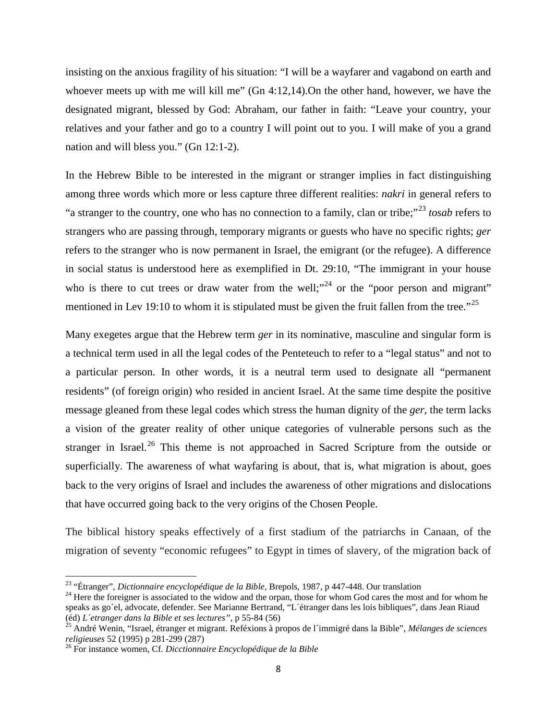insisting on the anxious fragility of his situation: "I will be a wayfarer and vagabond on earth and whoever meets up with me will kill me" (Gn 4:12,14). On the other hand, however, we have the designated migrant, blessed by God: Abraham, our father in faith: "Leave your country, your relatives and your father and go to a country I will point out to you. I will make of you a grand nation and will bless you." (Gn 12:1-2).

In the Hebrew Bible to be interested in the migrant or stranger implies in fact distinguishing among three words which more or less capture three different realities: *nakri* in general refers to "a stranger to the country, one who has no connection to a family, clan or tribe;"[23](#page-7-0) *tosab* refers to strangers who are passing through, temporary migrants or guests who have no specific rights; *ger*  refers to the stranger who is now permanent in Israel, the emigrant (or the refugee). A difference in social status is understood here as exemplified in Dt. 29:10, "The immigrant in your house who is there to cut trees or draw water from the well;"<sup>[24](#page-7-1)</sup> or the "poor person and migrant" mentioned in Lev 19:10 to whom it is stipulated must be given the fruit fallen from the tree."<sup>[25](#page-7-2)</sup>

Many exegetes argue that the Hebrew term *ger* in its nominative, masculine and singular form is a technical term used in all the legal codes of the Penteteuch to refer to a "legal status" and not to a particular person. In other words, it is a neutral term used to designate all "permanent residents" (of foreign origin) who resided in ancient Israel. At the same time despite the positive message gleaned from these legal codes which stress the human dignity of the *ger*, the term lacks a vision of the greater reality of other unique categories of vulnerable persons such as the stranger in Israel.<sup>[26](#page-7-3)</sup> This theme is not approached in Sacred Scripture from the outside or superficially. The awareness of what wayfaring is about, that is, what migration is about, goes back to the very origins of Israel and includes the awareness of other migrations and dislocations that have occurred going back to the very origins of the Chosen People.

The biblical history speaks effectively of a first stadium of the patriarchs in Canaan, of the migration of seventy "economic refugees" to Egypt in times of slavery, of the migration back of

<span id="page-7-1"></span>

<span id="page-7-0"></span><sup>&</sup>lt;sup>23</sup> "Étranger", *Dictionnaire encyclopédique de la Bible*, Brepols, 1987, p 447-448. Our translation <sup>24</sup> Here the foreigner is associated to the widow and the orpan, those for whom God cares the most and for whom he speaks as go´el, advocate, defender. See Marianne Bertrand, "L´étranger dans les lois bibliques", dans Jean Riaud

<span id="page-7-2"></span><sup>(</sup>éd) *L´etranger dans la Bible et ses lectures",* p 55-84 (56) <sup>25</sup> André Wenin, "Israel, étranger et migrant. Reféxions à propos de l´immigré dans la Bible", *Mélanges de sciences* 

<span id="page-7-3"></span><sup>&</sup>lt;sup>26</sup> For instance women, Cf. *Dicctionnaire Encyclopédique de la Bible*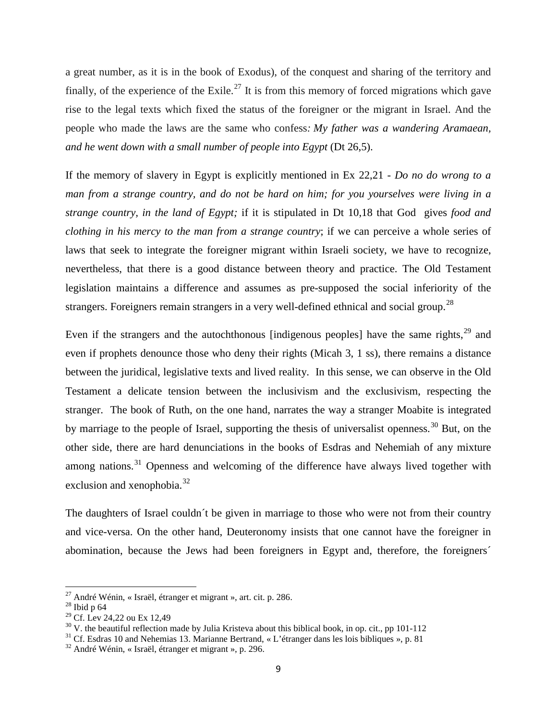a great number, as it is in the book of Exodus), of the conquest and sharing of the territory and finally, of the experience of the Exile.<sup>[27](#page-8-0)</sup> It is from this memory of forced migrations which gave rise to the legal texts which fixed the status of the foreigner or the migrant in Israel. And the people who made the laws are the same who confess*: My father was a wandering Aramaean, and he went down with a small number of people into Egypt* (Dt 26,5).

If the memory of slavery in Egypt is explicitly mentioned in Ex 22,21 - *Do no do wrong to a man from a strange country, and do not be hard on him; for you yourselves were living in a strange country, in the land of Egypt;* if it is stipulated in Dt 10,18 that God gives *food and clothing in his mercy to the man from a strange country*; if we can perceive a whole series of laws that seek to integrate the foreigner migrant within Israeli society, we have to recognize, nevertheless, that there is a good distance between theory and practice. The Old Testament legislation maintains a difference and assumes as pre-supposed the social inferiority of the strangers. Foreigners remain strangers in a very well-defined ethnical and social group.<sup>[28](#page-8-1)</sup>

Even if the strangers and the autochthonous [indigenous peoples] have the same rights, $2^9$  and even if prophets denounce those who deny their rights (Micah 3, 1 ss), there remains a distance between the juridical, legislative texts and lived reality. In this sense, we can observe in the Old Testament a delicate tension between the inclusivism and the exclusivism, respecting the stranger. The book of Ruth, on the one hand, narrates the way a stranger Moabite is integrated by marriage to the people of Israel, supporting the thesis of universalist openness.<sup>[30](#page-8-3)</sup> But, on the other side, there are hard denunciations in the books of Esdras and Nehemiah of any mixture among nations.<sup>[31](#page-8-4)</sup> Openness and welcoming of the difference have always lived together with exclusion and xenophobia.<sup>[32](#page-8-5)</sup>

The daughters of Israel couldn´t be given in marriage to those who were not from their country and vice-versa. On the other hand, Deuteronomy insists that one cannot have the foreigner in abomination, because the Jews had been foreigners in Egypt and, therefore, the foreigners´

<span id="page-8-0"></span><sup>&</sup>lt;sup>27</sup> André Wénin, « Israël, étranger et migrant », art. cit. p. 286.<br><sup>28</sup> Ibid p 64<br><sup>29</sup> Cf. Lev 24,22 ou Ex 12,49

<span id="page-8-1"></span>

<span id="page-8-4"></span><span id="page-8-3"></span><span id="page-8-2"></span><sup>&</sup>lt;sup>30</sup> V. the beautiful reflection made by Julia Kristeva about this biblical book, in op. cit., pp 101-112<br><sup>31</sup> Cf. Esdras 10 and Nehemias 13. Marianne Bertrand, «L'étranger dans les lois bibliques », p. 81<br><sup>32</sup> André Wéni

<span id="page-8-5"></span>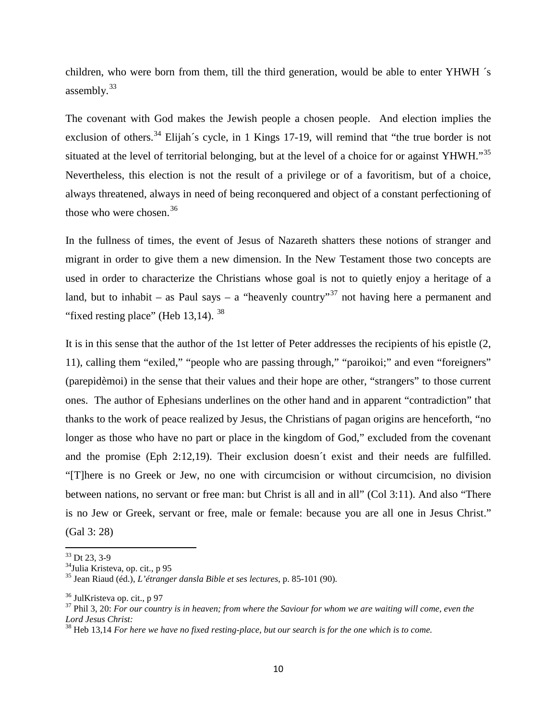children, who were born from them, till the third generation, would be able to enter YHWH ´s assembly.<sup>[33](#page-9-0)</sup>

The covenant with God makes the Jewish people a chosen people. And election implies the exclusion of others.<sup>[34](#page-9-1)</sup> Elijah´s cycle, in 1 Kings 17-19, will remind that "the true border is not situated at the level of territorial belonging, but at the level of a choice for or against YHWH."<sup>[35](#page-9-2)</sup> Nevertheless, this election is not the result of a privilege or of a favoritism, but of a choice, always threatened, always in need of being reconquered and object of a constant perfectioning of those who were chosen.  $36$ 

In the fullness of times, the event of Jesus of Nazareth shatters these notions of stranger and migrant in order to give them a new dimension. In the New Testament those two concepts are used in order to characterize the Christians whose goal is not to quietly enjoy a heritage of a land, but to inhabit – as Paul says – a "heavenly country"<sup>[37](#page-9-4)</sup> not having here a permanent and "fixed resting place" (Heb  $13,14$ ).  $38$ 

It is in this sense that the author of the 1st letter of Peter addresses the recipients of his epistle (2, 11), calling them "exiled," "people who are passing through," "paroikoi;" and even "foreigners" (parepidèmoi) in the sense that their values and their hope are other, "strangers" to those current ones. The author of Ephesians underlines on the other hand and in apparent "contradiction" that thanks to the work of peace realized by Jesus, the Christians of pagan origins are henceforth, "no longer as those who have no part or place in the kingdom of God," excluded from the covenant and the promise (Eph 2:12,19). Their exclusion doesn´t exist and their needs are fulfilled. "[T]here is no Greek or Jew, no one with circumcision or without circumcision, no division between nations, no servant or free man: but Christ is all and in all" (Col 3:11). And also "There is no Jew or Greek, servant or free, male or female: because you are all one in Jesus Christ." (Gal 3: 28)

<span id="page-9-2"></span>

<span id="page-9-1"></span><span id="page-9-0"></span><sup>&</sup>lt;sup>33</sup> Dt 23, 3-9<br><sup>34</sup>Julia Kristeva, op. cit., p 95<br><sup>35</sup> Jean Riaud (éd.), *L'étranger dansla Bible et ses lectures*, p. 85-101 (90).

<span id="page-9-4"></span><span id="page-9-3"></span><sup>&</sup>lt;sup>36</sup> JulKristeva op. cit., p 97<br><sup>37</sup> Phil 3, 20: *For our country is in heaven; from where the Saviour for whom we are waiting will come, even the Lord Jesus Christ:* 

<span id="page-9-5"></span>*Lord Jesus Christ:* <sup>38</sup> Heb 13,14 *For here we have no fixed resting-place, but our search is for the one which is to come.*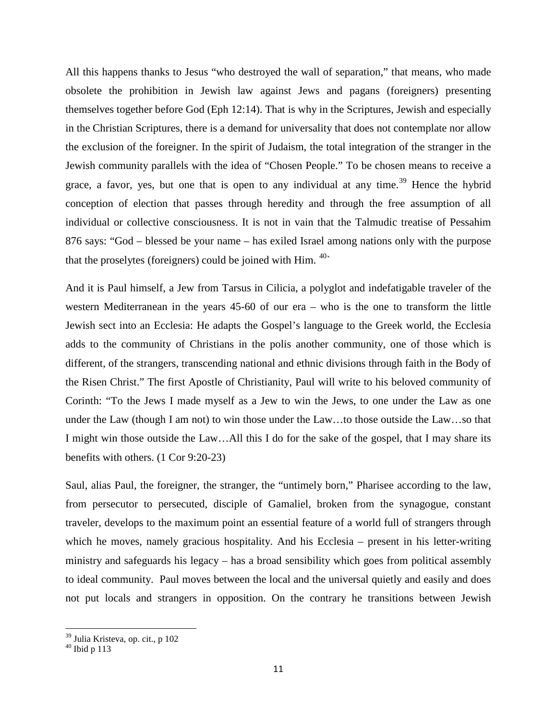All this happens thanks to Jesus "who destroyed the wall of separation," that means, who made obsolete the prohibition in Jewish law against Jews and pagans (foreigners) presenting themselves together before God (Eph 12:14). That is why in the Scriptures, Jewish and especially in the Christian Scriptures, there is a demand for universality that does not contemplate nor allow the exclusion of the foreigner. In the spirit of Judaism, the total integration of the stranger in the Jewish community parallels with the idea of "Chosen People." To be chosen means to receive a grace, a favor, yes, but one that is open to any individual at any time.<sup>[39](#page-10-0)</sup> Hence the hybrid conception of election that passes through heredity and through the free assumption of all individual or collective consciousness. It is not in vain that the Talmudic treatise of Pessahim 876 says: "God – blessed be your name – has exiled Israel among nations only with the purpose that the proselytes (foreigners) could be joined with Him.  $40<sup>2</sup>$  $40<sup>2</sup>$ 

And it is Paul himself, a Jew from Tarsus in Cilicia, a polyglot and indefatigable traveler of the western Mediterranean in the years 45-60 of our era – who is the one to transform the little Jewish sect into an Ecclesia: He adapts the Gospel's language to the Greek world, the Ecclesia adds to the community of Christians in the polis another community, one of those which is different, of the strangers, transcending national and ethnic divisions through faith in the Body of the Risen Christ." The first Apostle of Christianity, Paul will write to his beloved community of Corinth: "To the Jews I made myself as a Jew to win the Jews, to one under the Law as one under the Law (though I am not) to win those under the Law…to those outside the Law…so that I might win those outside the Law…All this I do for the sake of the gospel, that I may share its benefits with others. (1 Cor 9:20-23)

Saul, alias Paul, the foreigner, the stranger, the "untimely born," Pharisee according to the law, from persecutor to persecuted, disciple of Gamaliel, broken from the synagogue, constant traveler, develops to the maximum point an essential feature of a world full of strangers through which he moves, namely gracious hospitality. And his Ecclesia – present in his letter-writing ministry and safeguards his legacy – has a broad sensibility which goes from political assembly to ideal community. Paul moves between the local and the universal quietly and easily and does not put locals and strangers in opposition. On the contrary he transitions between Jewish

<span id="page-10-1"></span><span id="page-10-0"></span> $^{\rm 39}$  Julia Kristeva, op. cit., p 102  $^{\rm 40}$  Ibid p 113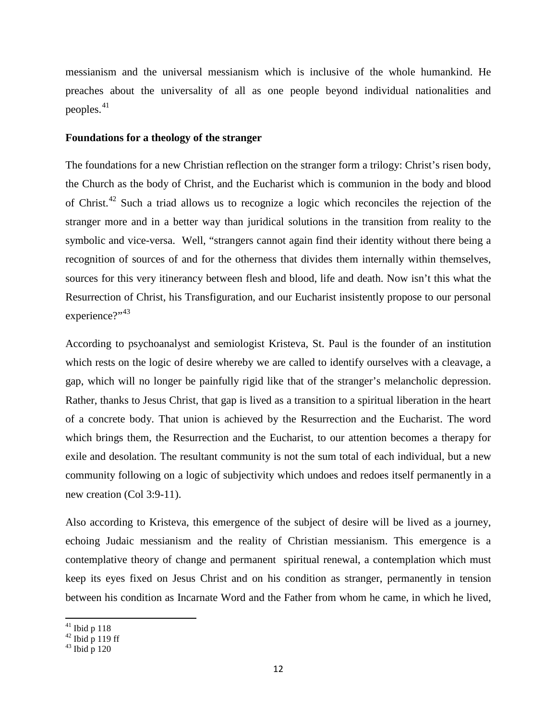messianism and the universal messianism which is inclusive of the whole humankind. He preaches about the universality of all as one people beyond individual nationalities and peoples.<sup>[41](#page-11-0)</sup>

#### **Foundations for a theology of the stranger**

The foundations for a new Christian reflection on the stranger form a trilogy: Christ's risen body, the Church as the body of Christ, and the Eucharist which is communion in the body and blood of Christ.[42](#page-11-1) Such a triad allows us to recognize a logic which reconciles the rejection of the stranger more and in a better way than juridical solutions in the transition from reality to the symbolic and vice-versa. Well, "strangers cannot again find their identity without there being a recognition of sources of and for the otherness that divides them internally within themselves, sources for this very itinerancy between flesh and blood, life and death. Now isn't this what the Resurrection of Christ, his Transfiguration, and our Eucharist insistently propose to our personal experience?"<sup>[43](#page-11-2)</sup>

According to psychoanalyst and semiologist Kristeva, St. Paul is the founder of an institution which rests on the logic of desire whereby we are called to identify ourselves with a cleavage, a gap, which will no longer be painfully rigid like that of the stranger's melancholic depression. Rather, thanks to Jesus Christ, that gap is lived as a transition to a spiritual liberation in the heart of a concrete body. That union is achieved by the Resurrection and the Eucharist. The word which brings them, the Resurrection and the Eucharist, to our attention becomes a therapy for exile and desolation. The resultant community is not the sum total of each individual, but a new community following on a logic of subjectivity which undoes and redoes itself permanently in a new creation (Col 3:9-11).

Also according to Kristeva, this emergence of the subject of desire will be lived as a journey, echoing Judaic messianism and the reality of Christian messianism. This emergence is a contemplative theory of change and permanent spiritual renewal, a contemplation which must keep its eyes fixed on Jesus Christ and on his condition as stranger, permanently in tension between his condition as Incarnate Word and the Father from whom he came, in which he lived,

<span id="page-11-1"></span><span id="page-11-0"></span><sup>&</sup>lt;sup>41</sup> Ibid p 118<br><sup>42</sup> Ibid p 119 ff<br><sup>43</sup> Ibid p 120

<span id="page-11-2"></span>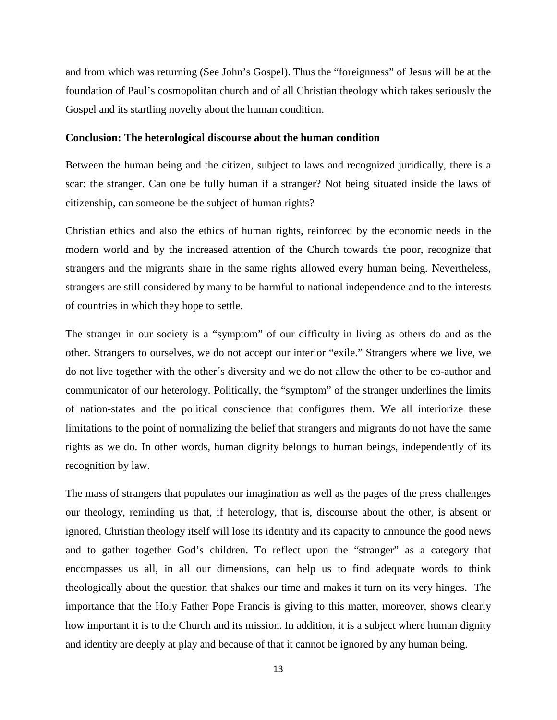and from which was returning (See John's Gospel). Thus the "foreignness" of Jesus will be at the foundation of Paul's cosmopolitan church and of all Christian theology which takes seriously the Gospel and its startling novelty about the human condition.

#### **Conclusion: The heterological discourse about the human condition**

Between the human being and the citizen, subject to laws and recognized juridically, there is a scar: the stranger. Can one be fully human if a stranger? Not being situated inside the laws of citizenship, can someone be the subject of human rights?

Christian ethics and also the ethics of human rights, reinforced by the economic needs in the modern world and by the increased attention of the Church towards the poor, recognize that strangers and the migrants share in the same rights allowed every human being. Nevertheless, strangers are still considered by many to be harmful to national independence and to the interests of countries in which they hope to settle.

The stranger in our society is a "symptom" of our difficulty in living as others do and as the other. Strangers to ourselves, we do not accept our interior "exile." Strangers where we live, we do not live together with the other´s diversity and we do not allow the other to be co-author and communicator of our heterology. Politically, the "symptom" of the stranger underlines the limits of nation-states and the political conscience that configures them. We all interiorize these limitations to the point of normalizing the belief that strangers and migrants do not have the same rights as we do. In other words, human dignity belongs to human beings, independently of its recognition by law.

The mass of strangers that populates our imagination as well as the pages of the press challenges our theology, reminding us that, if heterology, that is, discourse about the other, is absent or ignored, Christian theology itself will lose its identity and its capacity to announce the good news and to gather together God's children. To reflect upon the "stranger" as a category that encompasses us all, in all our dimensions, can help us to find adequate words to think theologically about the question that shakes our time and makes it turn on its very hinges. The importance that the Holy Father Pope Francis is giving to this matter, moreover, shows clearly how important it is to the Church and its mission. In addition, it is a subject where human dignity and identity are deeply at play and because of that it cannot be ignored by any human being.